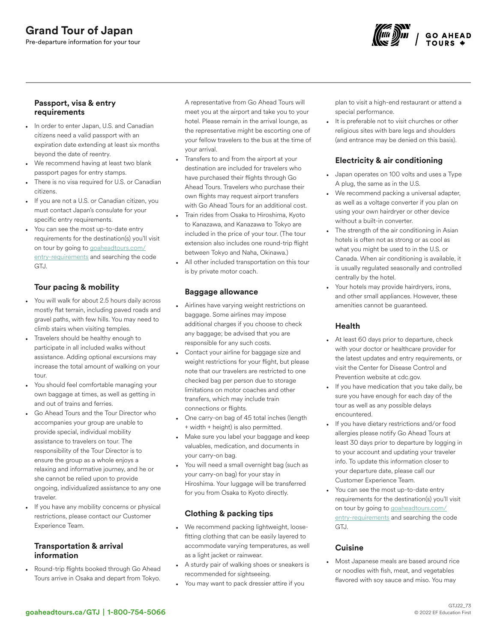

#### Passport, visa & entry requirements

- In order to enter Japan, U.S. and Canadian citizens need a valid passport with an expiration date extending at least six months beyond the date of reentry.
- We recommend having at least two blank passport pages for entry stamps.
- There is no visa required for U.S. or Canadian citizens.
- If you are not a U.S. or Canadian citizen, you must contact Japan's consulate for your specific entry requirements.
- You can see the most up-to-date entry requirements for the destination(s) you'll visit on tour by going to [goaheadtours.com/](/entry-requirements?tourCode=GTJ) [entry-requirements](/entry-requirements?tourCode=GTJ) and searching the code GTJ.

# Tour pacing & mobility

- You will walk for about 2.5 hours daily across mostly flat terrain, including paved roads and gravel paths, with few hills. You may need to climb stairs when visiting temples.
- Travelers should be healthy enough to participate in all included walks without assistance. Adding optional excursions may increase the total amount of walking on your tour.
- You should feel comfortable managing your own baggage at times, as well as getting in and out of trains and ferries.
- Go Ahead Tours and the Tour Director who accompanies your group are unable to provide special, individual mobility assistance to travelers on tour. The responsibility of the Tour Director is to ensure the group as a whole enjoys a relaxing and informative journey, and he or she cannot be relied upon to provide ongoing, individualized assistance to any one traveler.
- If you have any mobility concerns or physical restrictions, please contact our Customer Experience Team.

#### Transportation & arrival information

• Round-trip flights booked through Go Ahead Tours arrive in Osaka and depart from Tokyo.

A representative from Go Ahead Tours will meet you at the airport and take you to your hotel. Please remain in the arrival lounge, as the representative might be escorting one of your fellow travelers to the bus at the time of your arrival.

- Transfers to and from the airport at your destination are included for travelers who have purchased their flights through Go Ahead Tours. Travelers who purchase their own flights may request airport transfers with Go Ahead Tours for an additional cost.
- Train rides from Osaka to Hiroshima, Kyoto to Kanazawa, and Kanazawa to Tokyo are included in the price of your tour. (The tour extension also includes one round-trip flight between Tokyo and Naha, Okinawa.)
- All other included transportation on this tour is by private motor coach.

## Baggage allowance

- Airlines have varying weight restrictions on baggage. Some airlines may impose additional charges if you choose to check any baggage; be advised that you are responsible for any such costs.
- Contact your airline for baggage size and weight restrictions for your flight, but please note that our travelers are restricted to one checked bag per person due to storage limitations on motor coaches and other transfers, which may include train connections or flights.
- One carry-on bag of 45 total inches (length + width + height) is also permitted.
- Make sure you label your baggage and keep valuables, medication, and documents in your carry-on bag.
- You will need a small overnight bag (such as your carry-on bag) for your stay in Hiroshima. Your luggage will be transferred for you from Osaka to Kyoto directly.

# Clothing & packing tips

- We recommend packing lightweight, loosefitting clothing that can be easily layered to accommodate varying temperatures, as well as a light jacket or rainwear.
- A sturdy pair of walking shoes or sneakers is recommended for sightseeing.
- You may want to pack dressier attire if you

plan to visit a high-end restaurant or attend a special performance.

It is preferable not to visit churches or other religious sites with bare legs and shoulders (and entrance may be denied on this basis).

# Electricity & air conditioning

- Japan operates on 100 volts and uses a Type A plug, the same as in the U.S.
- We recommend packing a universal adapter, as well as a voltage converter if you plan on using your own hairdryer or other device without a built-in converter.
- The strength of the air conditioning in Asian hotels is often not as strong or as cool as what you might be used to in the U.S. or Canada. When air conditioning is available, it is usually regulated seasonally and controlled centrally by the hotel.
- Your hotels may provide hairdryers, irons, and other small appliances. However, these amenities cannot be guaranteed.

## Health

- At least 60 days prior to departure, check with your doctor or healthcare provider for the latest updates and entry requirements, or visit the Center for Disease Control and Prevention website at cdc.gov.
- If you have medication that you take daily, be sure you have enough for each day of the tour as well as any possible delays encountered.
- If you have dietary restrictions and/or food allergies please notify Go Ahead Tours at least 30 days prior to departure by logging in to your account and updating your traveler info. To update this information closer to your departure date, please call our Customer Experience Team.
- You can see the most up-to-date entry requirements for the destination(s) you'll visit on tour by going to [goaheadtours.com/](/entry-requirements?tourCode=GTJ) [entry-requirements](/entry-requirements?tourCode=GTJ) and searching the code GTJ.

## **Cuisine**

• Most Japanese meals are based around rice or noodles with fish, meat, and vegetables flavored with soy sauce and miso. You may